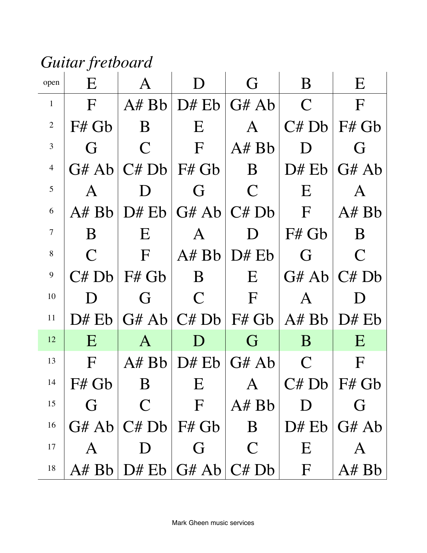*Guitar fretboard*

| open           | E            | Α            | D                         | G            | B               | E            |
|----------------|--------------|--------------|---------------------------|--------------|-----------------|--------------|
| $\mathbf{1}$   | $\mathbf{F}$ | A#Bb         | D# Eb                     | G#Ab         | $\mathsf{C}$    | $\mathbf{F}$ |
| $\overline{2}$ | F# Gb        | B            | E                         | A            | C# Db           | F# Gb        |
| 3              | G            | $\mathbf C$  | $\mathbf{F}$              | A#Bb         | D               | G            |
| $\overline{4}$ | G#Ab         | C# Db        | $F#$ Gb                   | $\bf{B}$     | D# Eb           | G#Ab         |
| 5              | A            | D            | G                         | $\mathsf{C}$ | E               | A            |
| 6              | A#Bb         | D# Eb        | $G#Ab$ $C#Db$             |              | $\mathbf{F}$    | A# Bb        |
| $\overline{7}$ | B            | E            | A                         | $\Box$       | F# Gb           | B            |
| 8              | $\mathsf{C}$ | $\mathbf{F}$ | A#Bb                      | D# Eb        | G               | $\mathsf{C}$ |
| 9              | C# Db        | F# Gb        | B                         | E            | G#Ab/C#Db       |              |
| 10             | D            | G            | $\mathcal C$              | $\mathbf{F}$ | A               | D            |
| 11             | D# Eb        | G#Ab         | C# Db                     | F# Gb        | A#Bb            | D# Eb        |
| 12             | E            | A            | D                         | G            | B               | E            |
| 13             | F            | A#Bb         | $DF$ Eb                   | G#Ab         | $\mathsf{C}$    | F            |
| 14             | F# Gb        | B            | $\boldsymbol{\mathrm{E}}$ | $\mathbf{A}$ | $C# Db$ $F# Gb$ |              |
| 15             | G            | $\mathsf{C}$ | $\mathbf F$               | A# Bb        | $\mathsf{D}$    | G            |
| 16             | G#Ab         | C# Db        | F# Gb                     | $\bf{B}$     | D# Eb           | G#Ab         |
| 17             | A            | D            | G                         | $\mathsf{C}$ | E               | A            |
| 18             | A#Bb         | D# Eb        | G#Ab                      | C# Db        | $\mathbf{F}$    | A# Bb        |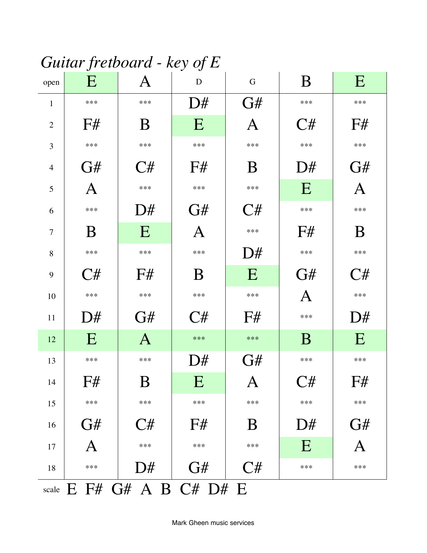## Guitar fretboard - key of  $E$

| open           | v<br>E                | $\bm{\mathsf{A}}$ | ັ<br>D | ${\bf G}$    | B     | E     |
|----------------|-----------------------|-------------------|--------|--------------|-------|-------|
| $\mathbf{1}$   | $***$                 | ***               | D#     | G#           | $***$ | $***$ |
| $\overline{2}$ | F#                    | B                 | E      | A            | C#    | F#    |
| 3              | $***$                 | ***               | $***$  | ***          | $***$ | $***$ |
| $\overline{4}$ | G#                    | C#                | F#     | B            | D#    | G#    |
| 5              | A                     | ***               | $***$  | ***          | E     | A     |
| 6              | ***                   | D#                | G#     | C#           | ***   | ***   |
| $\tau$         | B                     | E                 | A      | $***$        | F#    | B     |
| 8              | ***                   | ***               | ***    | D#           | ***   | ***   |
| 9              | C#                    | F#                | B      | E            | G#    | C#    |
| 10             | $***$                 | ***               | $***$  | ***          | A     | $***$ |
| 11             | D#                    | G#                | C#     | F#           | ***   | D#    |
| 12             | E                     | $\mathbf{A}$      | $***$  | ***          | B     | E     |
| 13             | ***                   | ***               | D#     | G#           | ***   | $***$ |
| 14             | F#                    | $\rm{B}$          | E      | $\mathbf{A}$ | C#    | F#    |
| 15             | $***$                 | $***$             | $***$  | $***$        | $***$ | $***$ |
| 16             | G#                    | C#                | F#     | B            | D#    | G#    |
| 17             | A                     | ***               | ***    | ***          | E     | Α     |
| 18             | ***                   | D#                | G#     | C#           | $***$ | $***$ |
| scale          | $E$ F# G# A B C# D# E |                   |        |              |       |       |

Mark Gheen music services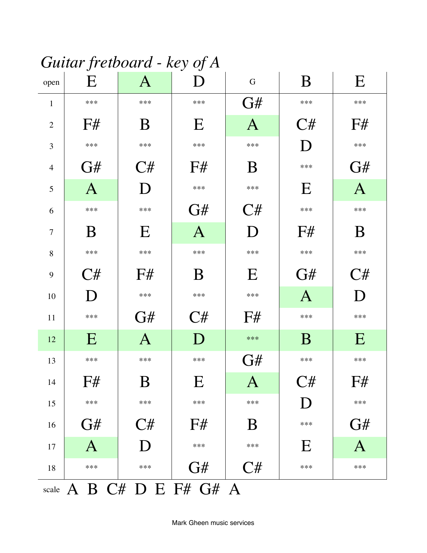# Guitar fretboard - key of A

| open           | ັ<br>E             | $\mathbf{A}$ | ◡<br>D       | $\mathbf G$  | B            | E            |
|----------------|--------------------|--------------|--------------|--------------|--------------|--------------|
| $\mathbf{1}$   | $***$              | ***          | $***$        | G#           | $***$        | $***$        |
| $\overline{2}$ | F#                 | B            | $\mathbf E$  | $\mathbf{A}$ | C#           | F#           |
| 3              | ***                | ***          | $***$        | ***          | D            | ***          |
| $\overline{4}$ | G#                 | C#           | F#           | B            | ***          | G#           |
| 5              | $\mathbf{A}$       | D            | $***$        | $***$        | E            | $\mathbf{A}$ |
| 6              | ***                | ***          | G#           | C#           | ***          | ***          |
| $\tau$         | B                  | E            | $\mathbf{A}$ | D            | F#           | B            |
| 8              | ***                | ***          | $***$        | ***          | ***          | ***          |
| 9              | C#                 | F#           | B            | E            | G#           | C#           |
| 10             | D                  | ***          | ***          | ***          | $\mathbf{A}$ | D            |
| 11             | ***                | G#           | C#           | F#           | $***$        | $***$        |
| 12             | E                  | $\mathbf{A}$ | D            | $***$        | B            | E            |
| 13             | ***                | ***          | ***          | G#           | ***          | ***          |
| 14             | F#                 | $\rm{B}$     | E            | $\mathbf{A}$ | C#           | F#           |
| 15             | $***$              | ***          | $***$        | $***$        | D            | $***$        |
| 16             | G#                 | C#           | F#           | B            | ***          | G#           |
| 17             | $\mathbf{A}$       | D            | ***          | $***$        | E            | $\mathbf{A}$ |
| 18             | ***                | ***          | G#           | C#           | $***$        | $***$        |
| scale          | A B C# D E F# G# A |              |              |              |              |              |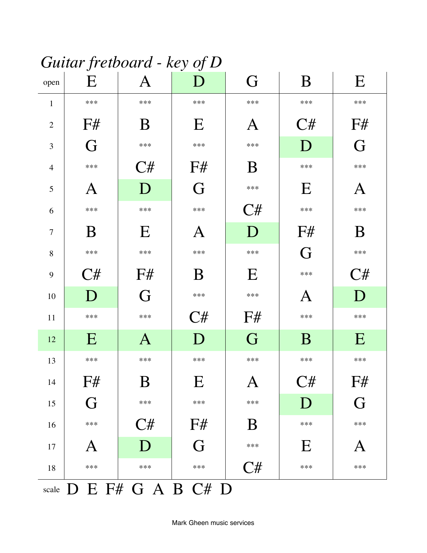## Guitar fretboard - key of D

| open           | J<br>E            | $\bf A$      | J<br>$\mathbf D$ | G                         | B     | E                         |
|----------------|-------------------|--------------|------------------|---------------------------|-------|---------------------------|
| $\mathbf{1}$   | ***               | ***          | ***              | ***                       | ***   | ***                       |
| $\overline{2}$ | F#                | B            | E                | $\boldsymbol{\mathsf{A}}$ | C#    | F#                        |
| 3              | G                 | ***          | ***              | ***                       | D     | G                         |
| $\overline{4}$ | ***               | C#           | F#               | B                         | $***$ | ***                       |
| 5              | $\bm{\mathrm{A}}$ | D            | G                | ***                       | E     | $\boldsymbol{\mathsf{A}}$ |
| 6              | ***               | ***          | ***              | C#                        | ***   | ***                       |
| $\overline{7}$ | B                 | E            | Α                | D                         | F#    | B                         |
| 8              | ***               | ***          | ***              | ***                       | G     | ***                       |
| 9              | C#                | F#           | B                | E                         | $***$ | C#                        |
| 10             | D                 | G            | ***              | ***                       | A     | D                         |
| 11             | ***               | ***          | C#               | F#                        | ***   | ***                       |
| 12             | E                 | $\mathbf{A}$ | D                | G                         | B     | E                         |
| 13             | $***$             | ***          | ***              | ***                       | $***$ | ***                       |
| 14             | F#                | $\rm{B}$     | E                | $\mathbf{A}$              | C#    | F#                        |
| 15             | G                 | ***          | $***$            | ***                       | D     | G                         |
| 16             | ***               | C#           | F#               | B                         | $***$ | ***                       |
| 17             | A                 | D            | G                | ***                       | E     | Α                         |
| 18             | ***               | ***          | ***              | C#                        | ***   | ***                       |
| scale          | D E F# G A B C# D |              |                  |                           |       |                           |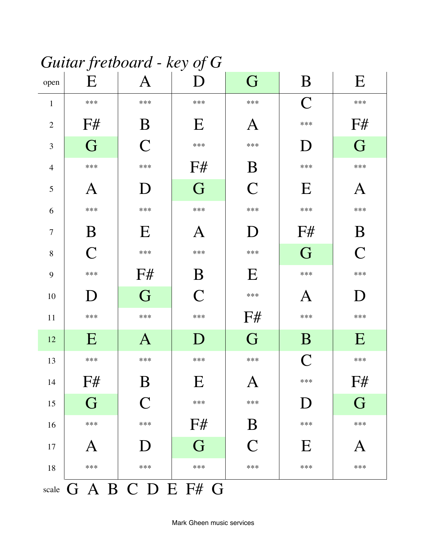## Guitar fretboard - key of G

| open           | ັ<br>E                    | $\boldsymbol{\mathsf{A}}$ | ◡<br>D       | G                         | B              | E                         |
|----------------|---------------------------|---------------------------|--------------|---------------------------|----------------|---------------------------|
| $\mathbf{1}$   | ***                       | $***$                     | ***          | ***                       | $\overline{C}$ | $***$                     |
| $\mathbf{2}$   | F#                        | B                         | E            | $\boldsymbol{\mathsf{A}}$ | ***            | F#                        |
| 3              | G                         | $\overline{\mathsf{C}}$   | $***$        | ***                       | D              | G                         |
| $\overline{4}$ | ***                       | ***                       | F#           | B                         | ***            | ***                       |
| 5              | $\boldsymbol{\mathsf{A}}$ | D                         | G            | $\overline{C}$            | E              | $\boldsymbol{\mathsf{A}}$ |
| 6              | ***                       | ***                       | $***$        | ***                       | ***            | ***                       |
| $\overline{7}$ | B                         | E                         | A            | $\mathbf D$               | F#             | B                         |
| 8              | $\mathcal{C}$             | $***$                     | $***$        | ***                       | G              | $\overline{C}$            |
| 9              | $***$                     | F#                        | B            | E                         | $***$          | $***$                     |
| 10             | D                         | G                         | $\mathsf{C}$ | ***                       | A              | D                         |
| 11             | $***$                     | $***$                     | $***$        | F#                        | $***$          | $***$                     |
| 12             | E                         | $\mathbf{A}$              | D            | G                         | B              | E                         |
| 13             | ***                       | $***$                     | $***$        | ***                       | $\overline{C}$ | $***$                     |
| 14             | F#                        | $\boldsymbol{\mathrm{B}}$ | E            | $\mathbf{A}$              | ***            | F#                        |
| 15             | G                         | $\overline{C}$            | $***$        | ***                       | D              | G                         |
| 16             | ***                       | ***                       | F#           | B                         | ***            | ***                       |
| 17             | $\bm{\mathsf{A}}$         | D                         | G            | $\mathsf{C}$              | E              | А                         |
| 18             | ***                       | $***$                     | $***$        | ***                       | ***            | $***$                     |
|                |                           | scale G A B C D E F# G    |              |                           |                |                           |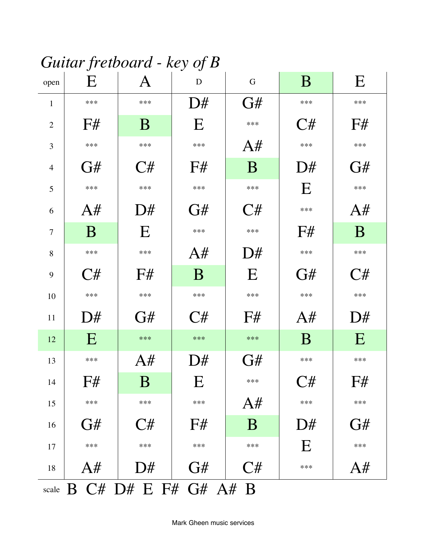## Guitar fretboard - key of  $B$

| open           | E                    | $\bm{A}$ | D                         | G        | B     | $\mathbf E$ |
|----------------|----------------------|----------|---------------------------|----------|-------|-------------|
| $\mathbf{1}$   | ***                  | ***      | D#                        | G#       | ***   | ***         |
| $\overline{2}$ | F#                   | B        | $\mathbf E$               | ***      | C#    | F#          |
| 3              | ***                  | ***      | ***                       | A#       | ***   | ***         |
| $\overline{4}$ | G#                   | C#       | F#                        | B        | D#    | G#          |
| 5              | ***                  | ***      | $***$                     | ***      | E     | $***$       |
| 6              | A#                   | D#       | G#                        | C#       | ***   | A#          |
| $\tau$         | B                    | E        | $***$                     | ***      | F#    | B           |
| 8              | $***$                | ***      | A#                        | D#       | $***$ | $***$       |
| 9              | C#                   | F#       | B                         | E        | G#    | C#          |
| 10             | ***                  | ***      | $***$                     | $***$    | $***$ | $***$       |
| 11             | D#                   | G#       | C#                        | F#       | A#    | D#          |
| 12             | E                    | $***$    | $***$                     | $***$    | B     | E           |
| 13             | ***                  | A#       | D#                        | G#       | ***   | $***$       |
| 14             | F#                   | B        | $\boldsymbol{\mathrm{E}}$ | ***      | C#    | F#          |
| 15             | ***                  | ***      | ***                       | A#       | $***$ | $***$       |
| 16             | G#                   | C#       | F#                        | $\bf{B}$ | D#    | G#          |
| 17             | $***$                | ***      | $***$                     | $***$    | E     | $***$       |
| 18             | A#                   | D#       | G#                        | C#       | ***   | A#          |
| scale          | B C# D# E F# G# A# B |          |                           |          |       |             |

Mark Gheen music services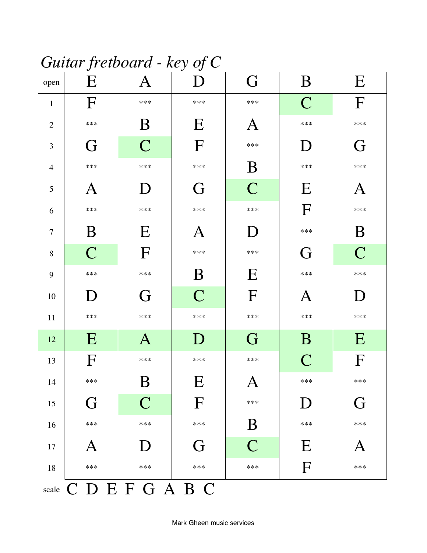## Guitar fretboard - key of C

| open                  | v<br>E        | $\bm{\mathsf{A}}$         | v<br>D      | G                         | B             | E                         |  |  |  |
|-----------------------|---------------|---------------------------|-------------|---------------------------|---------------|---------------------------|--|--|--|
| $\mathbf{1}$          | $\Gamma$      | ***                       | ***         | ***                       | $\mathcal{C}$ | $\boldsymbol{\mathrm{F}}$ |  |  |  |
| $\overline{2}$        | ***           | $\rm{B}$                  | E           | $\boldsymbol{\mathsf{A}}$ | ***           | ***                       |  |  |  |
| $\mathfrak{Z}$        | G             | $\overline{C}$            | F           | ***                       | D             | G                         |  |  |  |
| $\overline{4}$        | $***$         | ***                       | ***         | $\boldsymbol{B}$          | ***           | ***                       |  |  |  |
| $\mathfrak{S}$        | A             | $\mathbf D$               | G           | $\overline{C}$            | E             | $\bm{\mathrm{A}}$         |  |  |  |
| 6                     | ***           | ***                       | ***         | ***                       | F             | ***                       |  |  |  |
| $\overline{7}$        | B             | E                         | A           | ${\bf D}$                 | ***           | B                         |  |  |  |
| $8\,$                 | $\mathcal{C}$ | $\boldsymbol{\mathrm{F}}$ | ***         | ***                       | G             | $\overline{C}$            |  |  |  |
| 9                     | $***$         | ***                       | B           | E                         | ***           | ***                       |  |  |  |
| 10                    | D             | G                         | $\mathbf C$ | F                         | A             | D                         |  |  |  |
| $11\,$                | $***$         | ***                       | ***         | ***                       | ***           | ***                       |  |  |  |
| 12                    | E             | $\mathbf{A}$              | D           | G                         | B             | E                         |  |  |  |
| 13                    | F             | ***                       | $***$       | $***$                     | $\mathcal{C}$ | F                         |  |  |  |
| 14                    | ***           | B                         | E           | $\mathbf{A}$              | ***           | ***                       |  |  |  |
| 15                    | G             | $\overline{C}$            | $\mathbf F$ | $***$                     | D             | G                         |  |  |  |
| 16                    | $***$         | ***                       | ***         | B                         | ***           | ***                       |  |  |  |
| $17\,$                | $\bm A$       | D                         | G           | $\overline{C}$            | E             | $\bm{\mathsf{A}}$         |  |  |  |
| 18                    | ***           | ***                       | ***         | ***                       | F             | ***                       |  |  |  |
| scale C D E F G A B C |               |                           |             |                           |               |                           |  |  |  |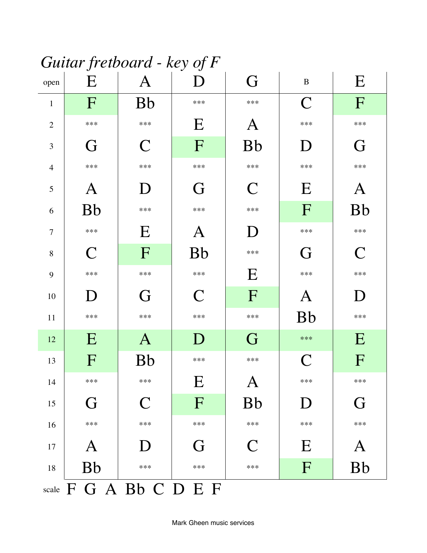## Guitar fretboard - key of  $F$

| open           | J<br>E                 | $\bm{\mathsf{A}}$ | ◡<br>D      | G                 | $\, {\bf B}$   | E                 |
|----------------|------------------------|-------------------|-------------|-------------------|----------------|-------------------|
| $\mathbf{1}$   | F                      | <b>Bb</b>         | ***         | ***               | $\mathsf{C}$   | $\mathbf{F}$      |
| $\mathbf{2}$   | $***$                  | ***               | $\mathbf E$ | $\bm{\mathsf{A}}$ | ***            | $***$             |
| 3              | G                      | C                 | F           | <b>Bb</b>         | D              | G                 |
| $\overline{4}$ | ***                    | ***               | ***         | ***               | ***            | ***               |
| 5              | A                      | $\mathbf D$       | G           | $\mathsf{C}$      | E              | $\bm{\mathsf{A}}$ |
| 6              | <b>Bb</b>              | ***               | ***         | ***               | $\mathbf{F}$   | <b>Bb</b>         |
| $\tau$         | ***                    | E                 | A           | ${\bf D}$         | ***            | ***               |
| 8              | $\mathbf C$            | $\mathbf{F}$      | <b>Bb</b>   | ***               | G              | $\mathsf{C}$      |
| 9              | $***$                  | $***$             | $***$       | E                 | $***$          | $***$             |
| 10             | D                      | G                 | $\mathbf C$ | $\mathbf F$       | A              | D                 |
| 11             | $***$                  | $***$             | $***$       | ***               | <b>Bb</b>      | $***$             |
| 12             | E                      | $\mathbf{A}$      | D           | G                 | $***$          | E                 |
| 13             | F                      | <b>Bb</b>         | ***         | ***               | $\overline{C}$ | F                 |
| 14             | $***$                  | $***$             | E           | $\mathbf{A}$      | ***            | $***$             |
| $15\,$         | G                      | $\mathsf{C}$      | F           | <b>Bb</b>         | D              | G                 |
| 16             | ***                    | ***               | ***         | ***               | ***            | ***               |
| $17\,$         | $\bm A$                | $\bf D$           | G           | $\mathsf{C}$      | E              | A                 |
| $18\,$         | <b>Bb</b>              | ***               | ***         | ***               | F              | <b>Bb</b>         |
|                | scale F G A Bb C D E F |                   |             |                   |                |                   |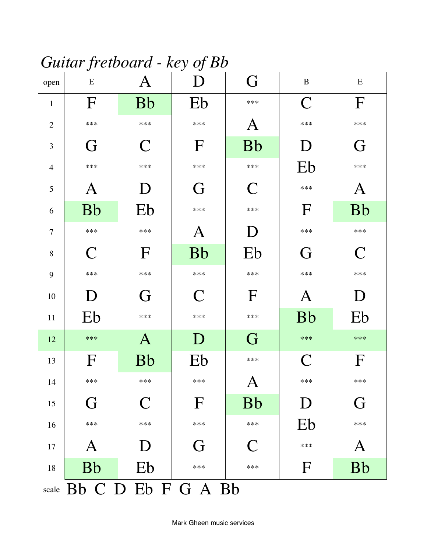#### Guitar fretboard - key of Bb

| open           | ັ<br>${\bf E}$ | $\boldsymbol{\mathsf{A}}$ |              | G             | $\, {\bf B}$              | ${\bf E}$                                                                                                      |
|----------------|----------------|---------------------------|--------------|---------------|---------------------------|----------------------------------------------------------------------------------------------------------------|
| $\mathbf{1}$   | F              | <b>Bb</b>                 | Eb           | ***           | $\mathbf C$               | $\boldsymbol{\mathrm{F}}$                                                                                      |
| $\overline{2}$ | $***$          | ***                       | $***$        | Α             | $***$                     | $***$                                                                                                          |
| 3              | G              | C                         | $\mathbf{F}$ | <b>Bb</b>     | D                         | G                                                                                                              |
| $\overline{4}$ | ***            | ***                       | $***$        | ***           | Eb                        | ***                                                                                                            |
| 5              | $\mathbf A$    | D                         | G            | $\mathcal C$  | $***$                     | A                                                                                                              |
| 6              | <b>Bb</b>      | Eb                        | $***$        | ***           | $\mathbf{F}$              | <b>Bb</b>                                                                                                      |
| $\overline{7}$ | $***$          | ***                       | A            | D             | $***$                     | $***$                                                                                                          |
| 8              | $\mathsf{C}$   | $\boldsymbol{\mathrm{F}}$ | <b>Bb</b>    | Eb            | G                         | $\mathsf{C}% _{M_{1},M_{2}}^{\alpha,\beta}(-\varepsilon)=\mathsf{C}_{M_{1},M_{2}}^{\alpha,\beta}(\varepsilon)$ |
| 9              | $***$          | ***                       | $***$        | ***           | $***$                     | $***$                                                                                                          |
|                |                |                           | $\mathbf C$  | $\mathbf{F}$  | $\boldsymbol{\mathsf{A}}$ | D                                                                                                              |
| 10             | $\mathbf{D}$   | G                         |              |               |                           |                                                                                                                |
| 11             | Eb             | ***                       | $***$        | ***           | <b>Bb</b>                 | Eb                                                                                                             |
| 12             | $***$          | $\mathbf{A}$              | D            | G             | ***                       | $***$                                                                                                          |
| 13             | $\Gamma$       | <b>Bb</b>                 | Eb           | ***           | $\mathsf{C}$              | $\mathbf{F}$                                                                                                   |
| 14             | ***            | ***                       | $***$        | $\mathbf{A}$  | $***$                     | $***$                                                                                                          |
| $15\,$         | G              | $\mathsf C$               | $\mathbf{F}$ | <b>Bb</b>     | D                         | G                                                                                                              |
| 16             | ***            | ***                       | ***          | ***           | Eb                        | ***                                                                                                            |
| $17\,$         | $\bm{A}$       | D                         | G            | $\mathcal{C}$ | ***                       | A                                                                                                              |
| $18\,$         | <b>Bb</b>      | Eb                        | ***          | ***           | $\mathbf{F}$              | <b>Bb</b>                                                                                                      |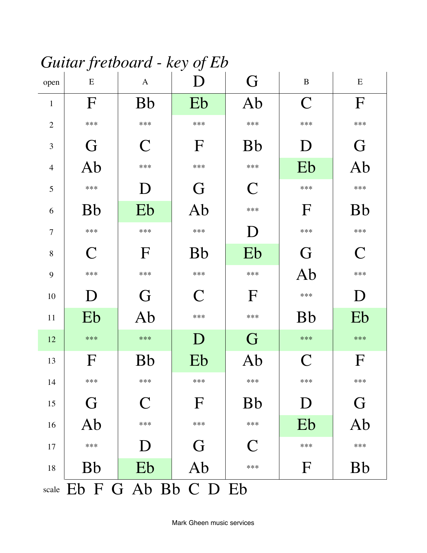#### Guitar fretboard - key of Eb

| open           | J<br>E                    | $\mathbf{A}$ | ◡<br>D       | G                                                                                                              | $\, {\bf B}$ | ${\bf E}$                 |
|----------------|---------------------------|--------------|--------------|----------------------------------------------------------------------------------------------------------------|--------------|---------------------------|
| $\mathbf{1}$   | F                         | <b>Bb</b>    | Eb           | Ab                                                                                                             | $\mathsf{C}$ | $\boldsymbol{\mathrm{F}}$ |
| $\overline{2}$ | $***$                     | $***$        | $***$        | $***$                                                                                                          | $***$        | $***$                     |
| 3              | G                         | $\mathsf{C}$ | F            | <b>Bb</b>                                                                                                      | D            | G                         |
| $\overline{4}$ | Ab                        | ***          | ***          | ***                                                                                                            | Eb           | Ab                        |
| 5              | $***$                     | D            | G            | $\mathsf{C}% _{M_{1},M_{2}}^{\alpha,\beta}(-\varepsilon)=\mathsf{C}_{M_{1},M_{2}}^{\alpha,\beta}(\varepsilon)$ | $***$        | $***$                     |
| 6              | <b>Bb</b>                 | Eb           | Ab           | ***                                                                                                            | $\mathbf{F}$ | <b>Bb</b>                 |
| $\overline{7}$ | $***$                     | $***$        | $***$        | D                                                                                                              | $***$        | $***$                     |
| $8\,$          | $\mathsf{C}$              | $\mathbf{F}$ | <b>Bb</b>    | Eb                                                                                                             | G            | $\mathsf{C}$              |
| 9              | $***$                     | $***$        | $***$        | $***$                                                                                                          | Ab           | ***                       |
| 10             | D                         | G            | $\mathsf{C}$ | $\Gamma$                                                                                                       | ***          | D                         |
| 11             | Eb                        | Ab           | $***$        | $***$                                                                                                          | <b>Bb</b>    | Eb                        |
| 12             | $***$                     | $***$        | D            | G                                                                                                              | $***$        | $***$                     |
| 13             | $\mathbf F$               | <b>Bb</b>    | Eb           | Ab                                                                                                             | $\mathsf{C}$ | $\mathbf F$               |
| 14             | ***                       | ***          | ***          | ***                                                                                                            | $***$        | $***$                     |
| 15             | G                         | C            | F            | <b>Bb</b>                                                                                                      | D            | G                         |
| 16             | Ab                        | ***          | ***          | ***                                                                                                            | Eb           | Ab                        |
| 17             | $***$                     | D            | G            | C                                                                                                              | $***$        | $***$                     |
| 18             | <b>Bb</b>                 | Eb           | Ab           | ***                                                                                                            | $\mathbf F$  | <b>Bb</b>                 |
|                | scale Eb F G Ab Bb C D Eb |              |              |                                                                                                                |              |                           |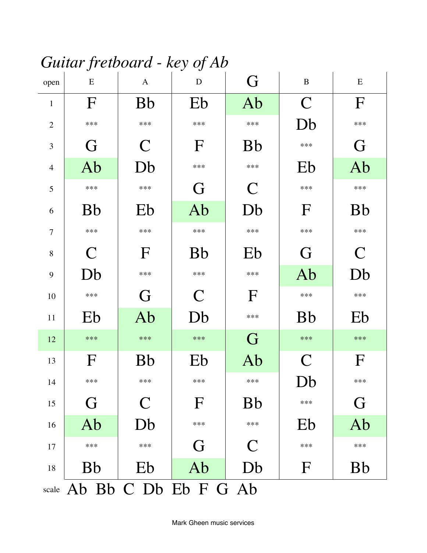Guitar fretboard - key of Ab

| open           | ${\bf E}$                  | $\mathbf{A}$ | ${\bf D}$    | G            | $\, {\bf B}$   | ${\bf E}$   |
|----------------|----------------------------|--------------|--------------|--------------|----------------|-------------|
| $\mathbf{1}$   | F                          | <b>Bb</b>    | Eb           | Ab           | $\overline{C}$ | F           |
| $\overline{2}$ | $***$                      | ***          | $***$        | $***$        | Db             | ***         |
| 3              | G                          | $\mathsf{C}$ | $\mathbf F$  | <b>Bb</b>    | $***$          | G           |
| $\overline{4}$ | Ab                         | Db           | ***          | ***          | Eb             | Ab          |
| 5              | ***                        | ***          | G            | $\mathsf{C}$ | $***$          | ***         |
| 6              | <b>Bb</b>                  | Eb           | Ab           | Db           | $\mathbf{F}$   | <b>Bb</b>   |
| $\overline{7}$ | ***                        | ***          | ***          | ***          | ***            | ***         |
| 8              | $\mathcal C$               | $\mathbf{F}$ | <b>Bb</b>    | Eb           | G              | $\mathbf C$ |
| 9              | Db                         | ***          | ***          | ***          | Ab             | Db          |
| 10             | $***$                      | G            | $\mathcal C$ | $\mathbf{F}$ | $***$          | $***$       |
| 11             | Eb                         | Ab           | Db           | ***          | <b>Bb</b>      | Eb          |
| 12             | $***$                      | ***          | $***$        | G            | $***$          | $***$       |
| 13             | $\mathbf{F}$               | <b>Bb</b>    | Eb           | Ab           | $\mathbf C$    | $\mathbf F$ |
| 14             | $***$                      | ***          | $***$        | ***          | Db             | $***$       |
| 15             | G                          | C            | $\mathbf F$  | <b>Bb</b>    | ***            | G           |
| 16             | Ab                         | Db           | ***          | ***          | Eb             | Ab          |
| 17             | $***$                      | ***          | G            | $\mathsf{C}$ | $***$          | $***$       |
| $18\,$         | <b>Bb</b>                  | Eb           | Ab           | Db           | F              | <b>Bb</b>   |
|                | scale Ab Bb C Db Eb F G Ab |              |              |              |                |             |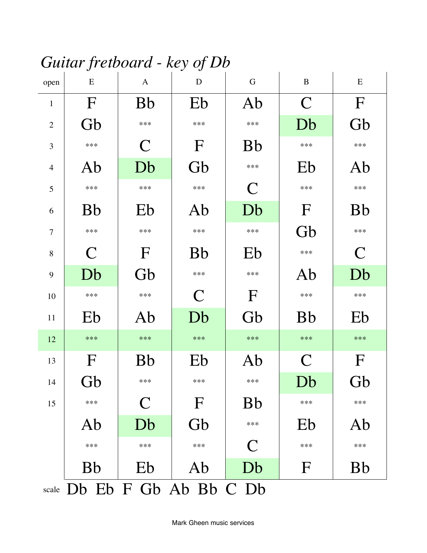#### Guitar fretboard - key of Db

| open           | E                           | $\mathbf{A}$ | $\mathbf D$  | $\mathbf G$  | $\, {\bf B}$ | ${\bf E}$    |
|----------------|-----------------------------|--------------|--------------|--------------|--------------|--------------|
| $\mathbf{1}$   | $\mathbf F$                 | <b>Bb</b>    | Eb           | Ab           | $\mathbf C$  | $\mathbf F$  |
| $\overline{2}$ | Gb                          | $***$        | $***$        | $***$        | Db           | Gb           |
| 3              | $***$                       | $\mathsf{C}$ | $\mathbf F$  | <b>Bb</b>    | $***$        | $***$        |
| $\overline{4}$ | Ab                          | Db           | Gb           | ***          | Eb           | Ab           |
| 5              | $***$                       | $***$        | $***$        | $\mathbf C$  | $***$        | ***          |
| 6              | <b>Bb</b>                   | Eb           | Ab           | Db           | $\mathbf{F}$ | <b>Bb</b>    |
| $\tau$         | ***                         | ***          | $***$        | ***          | Gb           | ***          |
| $8\,$          | $\mathsf{C}$                | $\mathbf F$  | <b>Bb</b>    | Eb           | ***          | $\mathsf{C}$ |
| 9              | Db                          | Gb           | $***$        | ***          | Ab           | Db           |
| 10             | ***                         | $***$        | $\mathsf{C}$ | $\Gamma$     | ***          | $***$        |
| 11             | Eb                          | Ab           | Db           | Gb           | <b>Bb</b>    | Eb           |
| 12             | ***                         | $***$        | $***$        | $***$        | $***$        | $***$        |
| 13             | $\mathbf{F}$                | <b>Bb</b>    | Eb           | Ab           | $\mathcal C$ | $\mathbf F$  |
| 14             | Gb                          | ***          | ***          | ***          | Db           | Gb           |
| 15             | $***$                       | C            | $\mathbf F$  | <b>Bb</b>    | $***$        | $***$        |
|                | Ab                          | Db           | Gb           | ***          | Eb           | Ab           |
|                | $***$                       | $***$        | ***          | $\mathsf{C}$ | $***$        | $***$        |
|                | <b>Bb</b>                   | Eb           | Ab           | Db           | F            | <b>Bb</b>    |
|                | scale Db Eb F Gb Ab Bb C Db |              |              |              |              |              |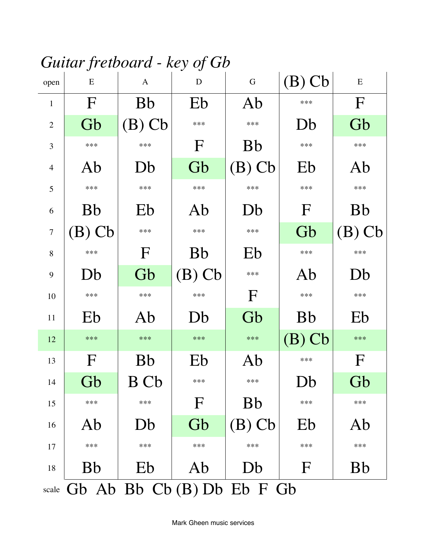#### Guitar fretboard - key of Gb

| open           | E                                | $\mathbf{A}$ | $\mathbf D$ | ${\bf G}$ | $(B)$ Cb     | ${\bf E}$    |  |  |  |
|----------------|----------------------------------|--------------|-------------|-----------|--------------|--------------|--|--|--|
| $\mathbf{1}$   | F                                | <b>Bb</b>    | Eb          | Ab        | $***$        | $\mathbf F$  |  |  |  |
| $\overline{2}$ | Gb                               | $(B)$ Cb     | ***         | ***       | Db           | Gb           |  |  |  |
| 3              | ***                              | ***          | $\mathbf F$ | <b>Bb</b> | $***$        | $***$        |  |  |  |
| $\overline{4}$ | Ab                               | Db           | Gb          | $(B)$ Cb  | Eb           | Ab           |  |  |  |
| 5              | ***                              | $***$        | ***         | ***       | $***$        | ***          |  |  |  |
| 6              | <b>Bb</b>                        | Eb           | Ab          | Db        | $\mathbf{F}$ | <b>Bb</b>    |  |  |  |
| $\overline{7}$ | $(B)$ Cb                         | ***          | $***$       | ***       | Gb           | $(B)$ Cb     |  |  |  |
| 8              | ***                              | $\mathbf{F}$ | <b>Bb</b>   | Eb        | $***$        | $***$        |  |  |  |
| 9              | Db                               | Gb           | $(B)$ Cb    | ***       | Ab           | Db           |  |  |  |
| 10             | ***                              | ***          | ***         | $\Gamma$  | ***          | ***          |  |  |  |
| 11             | Eb                               | Ab           | Db          | Gb        | <b>Bb</b>    | Eb           |  |  |  |
| 12             | $***$                            | ***          | $***$       | $***$     | $(B)$ Cb     | $***$        |  |  |  |
| 13             | F                                | <b>Bb</b>    | Eb          | Ab        | $***$        | $\mathbf{F}$ |  |  |  |
| 14             | Gb                               | <b>B</b> Cb  | ***         | ***       | Db           | Gb           |  |  |  |
| 15             | ***                              | ***          | F           | <b>Bb</b> | ***          | ***          |  |  |  |
| 16             | Ab                               | Db           | Gb          | $(B)$ Cb  | Eb           | Ab           |  |  |  |
| 17             | $***$                            | ***          | $***$       | ***       | $***$        | $***$        |  |  |  |
| 18             | <b>Bb</b>                        | Eb           | Ab          | Db        | $\mathbf{F}$ | <b>Bb</b>    |  |  |  |
|                | scale Gb Ab Bb Cb (B) Db Eb F Gb |              |             |           |              |              |  |  |  |